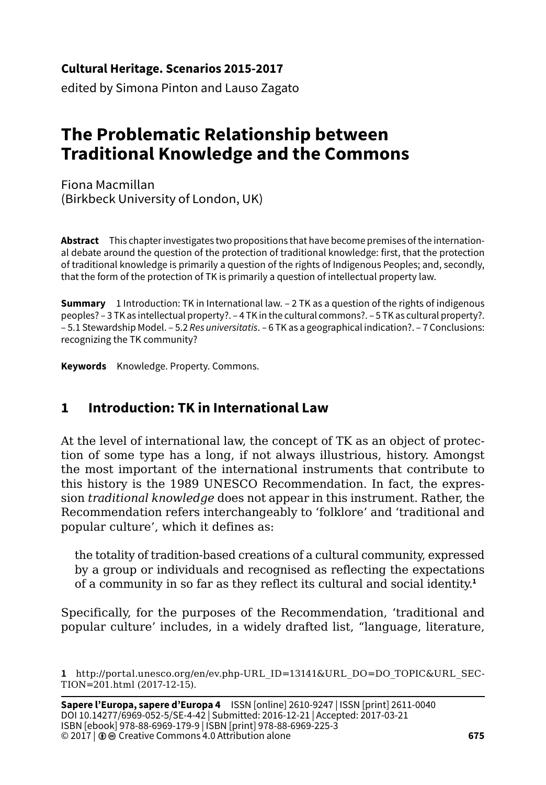**Cultural Heritage. Scenarios 2015-2017**

edited by Simona Pinton and Lauso Zagato

# **The Problematic Relationship between Traditional Knowledge and the Commons**

Fiona Macmillan (Birkbeck University of London, UK)

**Abstract** This chapter investigates two propositions that have become premises of the international debate around the question of the protection of traditional knowledge: first, that the protection of traditional knowledge is primarily a question of the rights of Indigenous Peoples; and, secondly, that the form of the protection of TK is primarily a question of intellectual property law.

**Summary** 1 Introduction: TK in International law. – 2 TK as a question of the rights of indigenous peoples? – 3 TK as intellectual property?. – 4 TK in the cultural commons?. – 5 TK as cultural property?. – 5.1 Stewardship Model. – 5.2 *Res universitatis*. – 6 TK as a geographical indication?. – 7 Conclusions: recognizing the TK community?

**Keywords** Knowledge. Property. Commons.

# **1 Introduction: TK in International Law**

At the level of international law, the concept of TK as an object of protection of some type has a long, if not always illustrious, history. Amongst the most important of the international instruments that contribute to this history is the 1989 UNESCO Recommendation. In fact, the expression *traditional knowledge* does not appear in this instrument. Rather, the Recommendation refers interchangeably to 'folklore' and 'traditional and popular culture', which it defines as:

the totality of tradition-based creations of a cultural community, expressed by a group or individuals and recognised as reflecting the expectations of a community in so far as they reflect its cultural and social identity.**<sup>1</sup>**

Specifically, for the purposes of the Recommendation, 'traditional and popular culture' includes, in a widely drafted list, "language, literature,

**<sup>1</sup>** http://portal.unesco.org/en/ev.php-URL\_ID=13141&URL\_DO=DO\_TOPIC&URL\_SEC-TION=201.html (2017-12-15).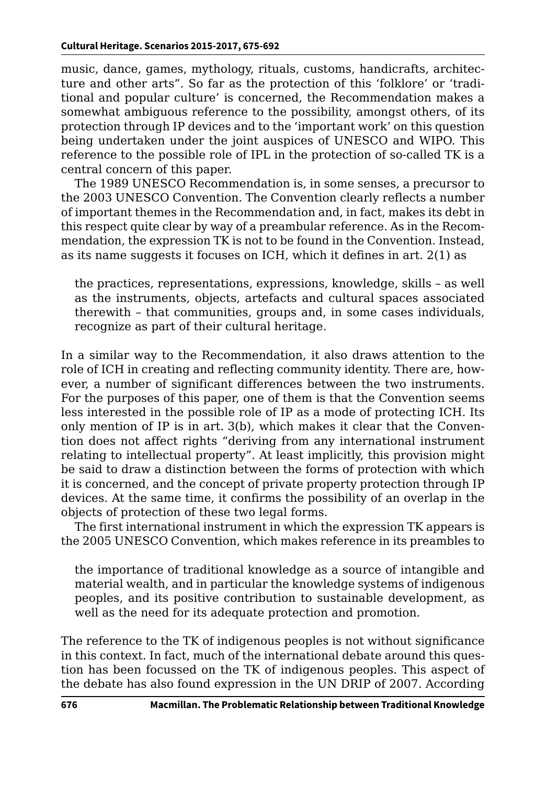music, dance, games, mythology, rituals, customs, handicrafts, architecture and other arts". So far as the protection of this 'folklore' or 'traditional and popular culture' is concerned, the Recommendation makes a somewhat ambiguous reference to the possibility, amongst others, of its protection through IP devices and to the 'important work' on this question being undertaken under the joint auspices of UNESCO and WIPO. This reference to the possible role of IPL in the protection of so-called TK is a central concern of this paper.

The 1989 UNESCO Recommendation is, in some senses, a precursor to the 2003 UNESCO Convention. The Convention clearly reflects a number of important themes in the Recommendation and, in fact, makes its debt in this respect quite clear by way of a preambular reference. As in the Recommendation, the expression TK is not to be found in the Convention. Instead, as its name suggests it focuses on ICH, which it defines in art. 2(1) as

the practices, representations, expressions, knowledge, skills – as well as the instruments, objects, artefacts and cultural spaces associated therewith – that communities, groups and, in some cases individuals, recognize as part of their cultural heritage.

In a similar way to the Recommendation, it also draws attention to the role of ICH in creating and reflecting community identity. There are, however, a number of significant differences between the two instruments. For the purposes of this paper, one of them is that the Convention seems less interested in the possible role of IP as a mode of protecting ICH. Its only mention of IP is in art. 3(b), which makes it clear that the Convention does not affect rights "deriving from any international instrument relating to intellectual property". At least implicitly, this provision might be said to draw a distinction between the forms of protection with which it is concerned, and the concept of private property protection through IP devices. At the same time, it confirms the possibility of an overlap in the objects of protection of these two legal forms.

The first international instrument in which the expression TK appears is the 2005 UNESCO Convention, which makes reference in its preambles to

the importance of traditional knowledge as a source of intangible and material wealth, and in particular the knowledge systems of indigenous peoples, and its positive contribution to sustainable development, as well as the need for its adequate protection and promotion.

The reference to the TK of indigenous peoples is not without significance in this context. In fact, much of the international debate around this question has been focussed on the TK of indigenous peoples. This aspect of the debate has also found expression in the UN DRIP of 2007. According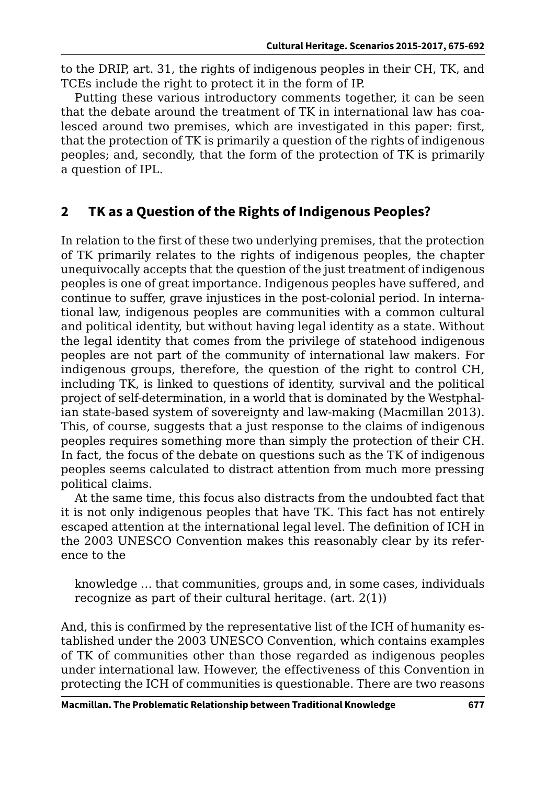to the DRIP, art. 31, the rights of indigenous peoples in their CH, TK, and TCEs include the right to protect it in the form of IP.

Putting these various introductory comments together, it can be seen that the debate around the treatment of TK in international law has coalesced around two premises, which are investigated in this paper: first, that the protection of TK is primarily a question of the rights of indigenous peoples; and, secondly, that the form of the protection of TK is primarily a question of IPL.

# **2 TK as a Question of the Rights of Indigenous Peoples?**

In relation to the first of these two underlying premises, that the protection of TK primarily relates to the rights of indigenous peoples, the chapter unequivocally accepts that the question of the just treatment of indigenous peoples is one of great importance. Indigenous peoples have suffered, and continue to suffer, grave injustices in the post-colonial period. In international law, indigenous peoples are communities with a common cultural and political identity, but without having legal identity as a state. Without the legal identity that comes from the privilege of statehood indigenous peoples are not part of the community of international law makers. For indigenous groups, therefore, the question of the right to control CH, including TK, is linked to questions of identity, survival and the political project of self-determination, in a world that is dominated by the Westphalian state-based system of sovereignty and law-making (Macmillan 2013). This, of course, suggests that a just response to the claims of indigenous peoples requires something more than simply the protection of their CH. In fact, the focus of the debate on questions such as the TK of indigenous peoples seems calculated to distract attention from much more pressing political claims.

At the same time, this focus also distracts from the undoubted fact that it is not only indigenous peoples that have TK. This fact has not entirely escaped attention at the international legal level. The definition of ICH in the 2003 UNESCO Convention makes this reasonably clear by its reference to the

knowledge … that communities, groups and, in some cases, individuals recognize as part of their cultural heritage. (art. 2(1))

And, this is confirmed by the representative list of the ICH of humanity established under the 2003 UNESCO Convention, which contains examples of TK of communities other than those regarded as indigenous peoples under international law. However, the effectiveness of this Convention in protecting the ICH of communities is questionable. There are two reasons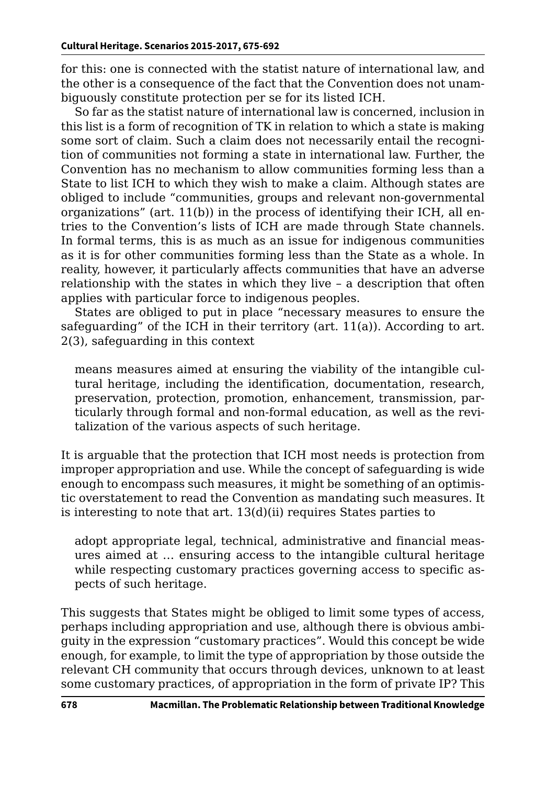for this: one is connected with the statist nature of international law, and the other is a consequence of the fact that the Convention does not unambiguously constitute protection per se for its listed ICH.

So far as the statist nature of international law is concerned, inclusion in this list is a form of recognition of TK in relation to which a state is making some sort of claim. Such a claim does not necessarily entail the recognition of communities not forming a state in international law. Further, the Convention has no mechanism to allow communities forming less than a State to list ICH to which they wish to make a claim. Although states are obliged to include "communities, groups and relevant non-governmental organizations" (art.  $11(b)$ ) in the process of identifying their ICH, all entries to the Convention's lists of ICH are made through State channels. In formal terms, this is as much as an issue for indigenous communities as it is for other communities forming less than the State as a whole. In reality, however, it particularly affects communities that have an adverse relationship with the states in which they live – a description that often applies with particular force to indigenous peoples.

States are obliged to put in place "necessary measures to ensure the safeguarding" of the ICH in their territory (art. 11(a)). According to art. 2(3), safeguarding in this context

means measures aimed at ensuring the viability of the intangible cultural heritage, including the identification, documentation, research, preservation, protection, promotion, enhancement, transmission, particularly through formal and non-formal education, as well as the revitalization of the various aspects of such heritage.

It is arguable that the protection that ICH most needs is protection from improper appropriation and use. While the concept of safeguarding is wide enough to encompass such measures, it might be something of an optimistic overstatement to read the Convention as mandating such measures. It is interesting to note that art. 13(d)(ii) requires States parties to

adopt appropriate legal, technical, administrative and financial measures aimed at … ensuring access to the intangible cultural heritage while respecting customary practices governing access to specific aspects of such heritage.

This suggests that States might be obliged to limit some types of access, perhaps including appropriation and use, although there is obvious ambiguity in the expression "customary practices". Would this concept be wide enough, for example, to limit the type of appropriation by those outside the relevant CH community that occurs through devices, unknown to at least some customary practices, of appropriation in the form of private IP? This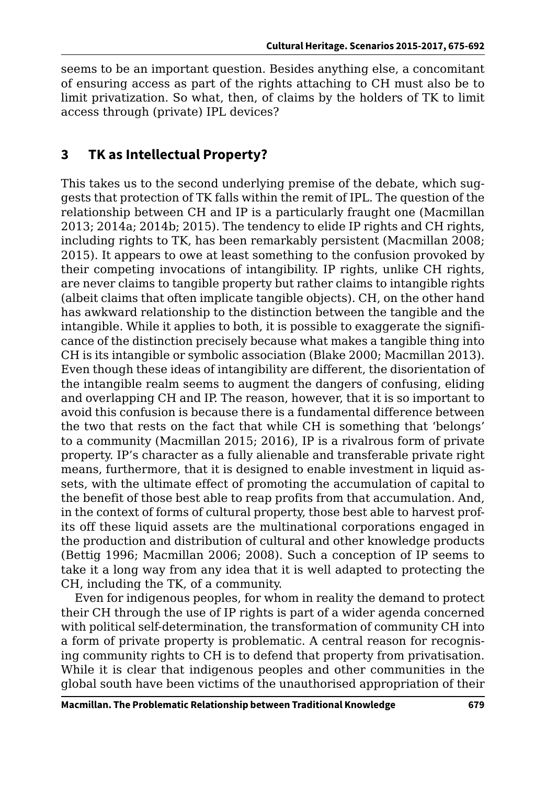seems to be an important question. Besides anything else, a concomitant of ensuring access as part of the rights attaching to CH must also be to limit privatization. So what, then, of claims by the holders of TK to limit access through (private) IPL devices?

### **3 TK as Intellectual Property?**

This takes us to the second underlying premise of the debate, which suggests that protection of TK falls within the remit of IPL. The question of the relationship between CH and IP is a particularly fraught one (Macmillan 2013; 2014a; 2014b; 2015). The tendency to elide IP rights and CH rights, including rights to TK, has been remarkably persistent (Macmillan 2008; 2015). It appears to owe at least something to the confusion provoked by their competing invocations of intangibility. IP rights, unlike CH rights, are never claims to tangible property but rather claims to intangible rights (albeit claims that often implicate tangible objects). CH, on the other hand has awkward relationship to the distinction between the tangible and the intangible. While it applies to both, it is possible to exaggerate the significance of the distinction precisely because what makes a tangible thing into CH is its intangible or symbolic association (Blake 2000; Macmillan 2013). Even though these ideas of intangibility are different, the disorientation of the intangible realm seems to augment the dangers of confusing, eliding and overlapping CH and IP. The reason, however, that it is so important to avoid this confusion is because there is a fundamental difference between the two that rests on the fact that while CH is something that 'belongs' to a community (Macmillan 2015; 2016), IP is a rivalrous form of private property. IP's character as a fully alienable and transferable private right means, furthermore, that it is designed to enable investment in liquid assets, with the ultimate effect of promoting the accumulation of capital to the benefit of those best able to reap profits from that accumulation. And, in the context of forms of cultural property, those best able to harvest profits off these liquid assets are the multinational corporations engaged in the production and distribution of cultural and other knowledge products (Bettig 1996; Macmillan 2006; 2008). Such a conception of IP seems to take it a long way from any idea that it is well adapted to protecting the CH, including the TK, of a community.

Even for indigenous peoples, for whom in reality the demand to protect their CH through the use of IP rights is part of a wider agenda concerned with political self-determination, the transformation of community CH into a form of private property is problematic. A central reason for recognising community rights to CH is to defend that property from privatisation. While it is clear that indigenous peoples and other communities in the global south have been victims of the unauthorised appropriation of their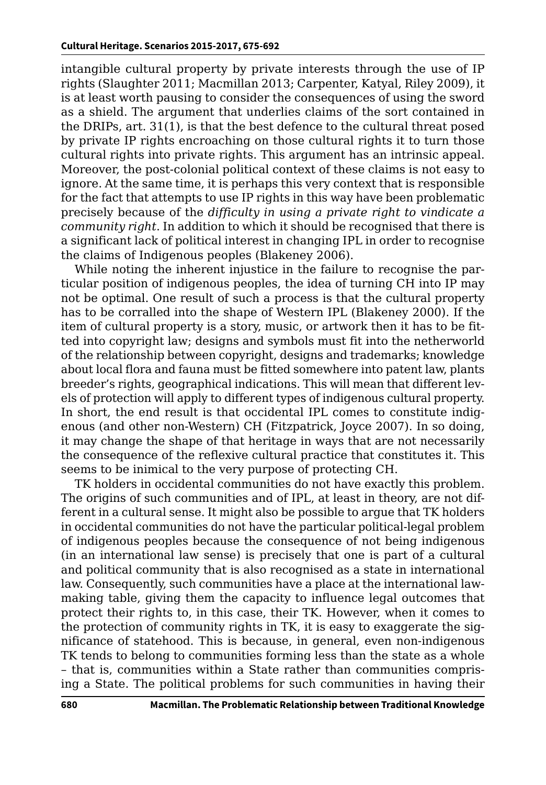intangible cultural property by private interests through the use of IP rights (Slaughter 2011; Macmillan 2013; Carpenter, Katyal, Riley 2009), it is at least worth pausing to consider the consequences of using the sword as a shield. The argument that underlies claims of the sort contained in the DRIPs, art. 31(1), is that the best defence to the cultural threat posed by private IP rights encroaching on those cultural rights it to turn those cultural rights into private rights. This argument has an intrinsic appeal. Moreover, the post-colonial political context of these claims is not easy to ignore. At the same time, it is perhaps this very context that is responsible for the fact that attempts to use IP rights in this way have been problematic precisely because of the *difficulty in using a private right to vindicate a community right*. In addition to which it should be recognised that there is a significant lack of political interest in changing IPL in order to recognise the claims of Indigenous peoples (Blakeney 2006).

While noting the inherent injustice in the failure to recognise the particular position of indigenous peoples, the idea of turning CH into IP may not be optimal. One result of such a process is that the cultural property has to be corralled into the shape of Western IPL (Blakeney 2000). If the item of cultural property is a story, music, or artwork then it has to be fitted into copyright law; designs and symbols must fit into the netherworld of the relationship between copyright, designs and trademarks; knowledge about local flora and fauna must be fitted somewhere into patent law, plants breeder's rights, geographical indications. This will mean that different levels of protection will apply to different types of indigenous cultural property. In short, the end result is that occidental IPL comes to constitute indigenous (and other non-Western) CH (Fitzpatrick, Joyce 2007). In so doing, it may change the shape of that heritage in ways that are not necessarily the consequence of the reflexive cultural practice that constitutes it. This seems to be inimical to the very purpose of protecting CH.

TK holders in occidental communities do not have exactly this problem. The origins of such communities and of IPL, at least in theory, are not different in a cultural sense. It might also be possible to argue that TK holders in occidental communities do not have the particular political-legal problem of indigenous peoples because the consequence of not being indigenous (in an international law sense) is precisely that one is part of a cultural and political community that is also recognised as a state in international law. Consequently, such communities have a place at the international lawmaking table, giving them the capacity to influence legal outcomes that protect their rights to, in this case, their TK. However, when it comes to the protection of community rights in TK, it is easy to exaggerate the significance of statehood. This is because, in general, even non-indigenous TK tends to belong to communities forming less than the state as a whole – that is, communities within a State rather than communities comprising a State. The political problems for such communities in having their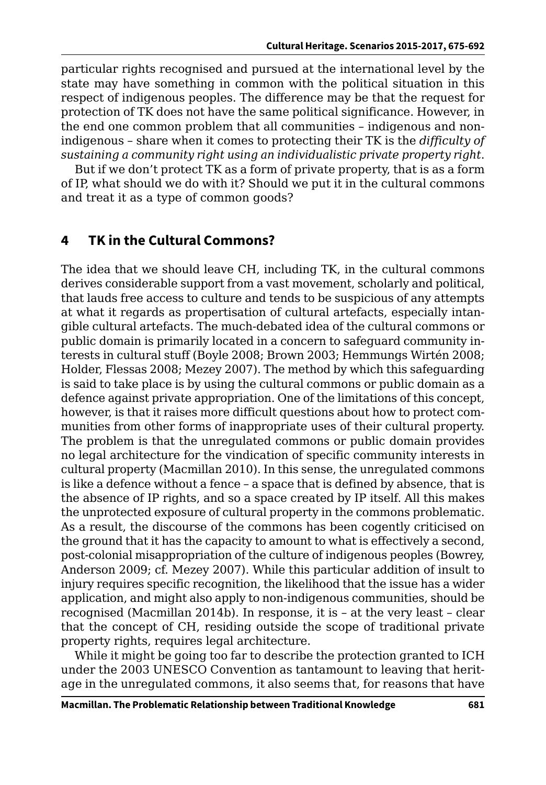particular rights recognised and pursued at the international level by the state may have something in common with the political situation in this respect of indigenous peoples. The difference may be that the request for protection of TK does not have the same political significance. However, in the end one common problem that all communities – indigenous and nonindigenous – share when it comes to protecting their TK is the *difficulty of sustaining a community right using an individualistic private property right*.

But if we don't protect TK as a form of private property, that is as a form of IP, what should we do with it? Should we put it in the cultural commons and treat it as a type of common goods?

### **4 TK in the Cultural Commons?**

The idea that we should leave CH, including TK, in the cultural commons derives considerable support from a vast movement, scholarly and political, that lauds free access to culture and tends to be suspicious of any attempts at what it regards as propertisation of cultural artefacts, especially intangible cultural artefacts. The much-debated idea of the cultural commons or public domain is primarily located in a concern to safeguard community interests in cultural stuff (Boyle 2008; Brown 2003; Hemmungs Wirtén 2008; Holder, Flessas 2008; Mezey 2007). The method by which this safeguarding is said to take place is by using the cultural commons or public domain as a defence against private appropriation. One of the limitations of this concept, however, is that it raises more difficult questions about how to protect communities from other forms of inappropriate uses of their cultural property. The problem is that the unregulated commons or public domain provides no legal architecture for the vindication of specific community interests in cultural property (Macmillan 2010). In this sense, the unregulated commons is like a defence without a fence – a space that is defined by absence, that is the absence of IP rights, and so a space created by IP itself. All this makes the unprotected exposure of cultural property in the commons problematic. As a result, the discourse of the commons has been cogently criticised on the ground that it has the capacity to amount to what is effectively a second, post-colonial misappropriation of the culture of indigenous peoples (Bowrey, Anderson 2009; cf. Mezey 2007). While this particular addition of insult to injury requires specific recognition, the likelihood that the issue has a wider application, and might also apply to non-indigenous communities, should be recognised (Macmillan 2014b). In response, it is – at the very least – clear that the concept of CH, residing outside the scope of traditional private property rights, requires legal architecture.

While it might be going too far to describe the protection granted to ICH under the 2003 UNESCO Convention as tantamount to leaving that heritage in the unregulated commons, it also seems that, for reasons that have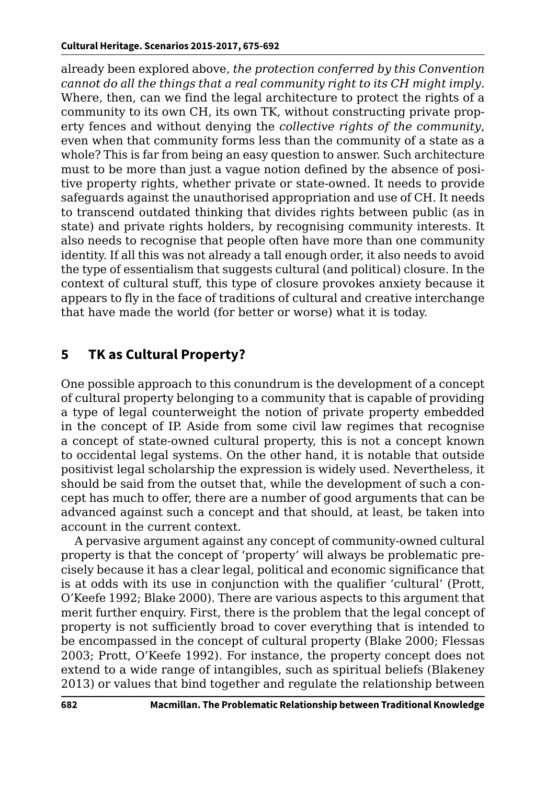already been explored above, *the protection conferred by this Convention cannot do all the things that a real community right to its CH might imply*. Where, then, can we find the legal architecture to protect the rights of a community to its own CH, its own TK, without constructing private property fences and without denying the *collective rights of the community*, even when that community forms less than the community of a state as a whole? This is far from being an easy question to answer. Such architecture must to be more than just a vague notion defined by the absence of positive property rights, whether private or state-owned. It needs to provide safeguards against the unauthorised appropriation and use of CH. It needs to transcend outdated thinking that divides rights between public (as in state) and private rights holders, by recognising community interests. It also needs to recognise that people often have more than one community identity. If all this was not already a tall enough order, it also needs to avoid the type of essentialism that suggests cultural (and political) closure. In the context of cultural stuff, this type of closure provokes anxiety because it appears to fly in the face of traditions of cultural and creative interchange that have made the world (for better or worse) what it is today.

# **5 TK as Cultural Property?**

One possible approach to this conundrum is the development of a concept of cultural property belonging to a community that is capable of providing a type of legal counterweight the notion of private property embedded in the concept of IP. Aside from some civil law regimes that recognise a concept of state-owned cultural property, this is not a concept known to occidental legal systems. On the other hand, it is notable that outside positivist legal scholarship the expression is widely used. Nevertheless, it should be said from the outset that, while the development of such a concept has much to offer, there are a number of good arguments that can be advanced against such a concept and that should, at least, be taken into account in the current context.

A pervasive argument against any concept of community-owned cultural property is that the concept of 'property' will always be problematic precisely because it has a clear legal, political and economic significance that is at odds with its use in conjunction with the qualifier 'cultural' (Prott, O'Keefe 1992; Blake 2000). There are various aspects to this argument that merit further enquiry. First, there is the problem that the legal concept of property is not sufficiently broad to cover everything that is intended to be encompassed in the concept of cultural property (Blake 2000; Flessas 2003; Prott, O'Keefe 1992). For instance, the property concept does not extend to a wide range of intangibles, such as spiritual beliefs (Blakeney 2013) or values that bind together and regulate the relationship between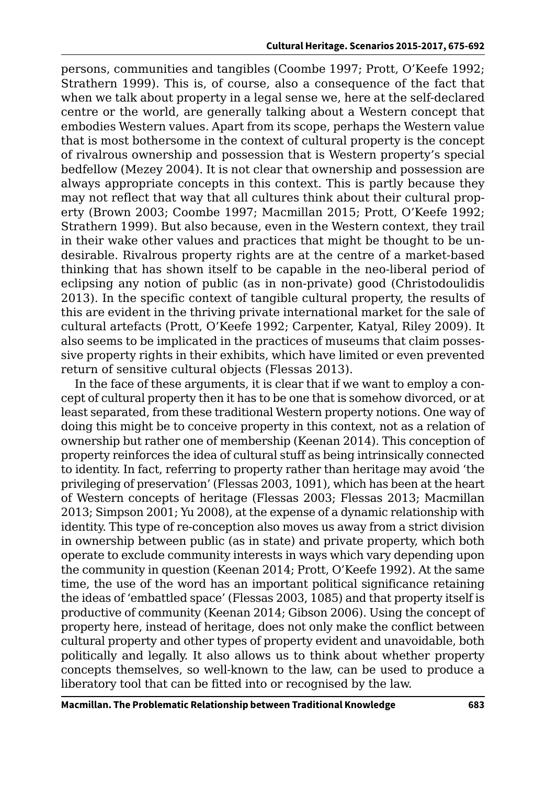persons, communities and tangibles (Coombe 1997; Prott, O'Keefe 1992; Strathern 1999). This is, of course, also a consequence of the fact that when we talk about property in a legal sense we, here at the self-declared centre or the world, are generally talking about a Western concept that embodies Western values. Apart from its scope, perhaps the Western value that is most bothersome in the context of cultural property is the concept of rivalrous ownership and possession that is Western property's special bedfellow (Mezey 2004). It is not clear that ownership and possession are always appropriate concepts in this context. This is partly because they may not reflect that way that all cultures think about their cultural property (Brown 2003; Coombe 1997; Macmillan 2015; Prott, O'Keefe 1992; Strathern 1999). But also because, even in the Western context, they trail in their wake other values and practices that might be thought to be undesirable. Rivalrous property rights are at the centre of a market-based thinking that has shown itself to be capable in the neo-liberal period of eclipsing any notion of public (as in non-private) good (Christodoulidis 2013). In the specific context of tangible cultural property, the results of this are evident in the thriving private international market for the sale of cultural artefacts (Prott, O'Keefe 1992; Carpenter, Katyal, Riley 2009). It also seems to be implicated in the practices of museums that claim possessive property rights in their exhibits, which have limited or even prevented return of sensitive cultural objects (Flessas 2013).

In the face of these arguments, it is clear that if we want to employ a concept of cultural property then it has to be one that is somehow divorced, or at least separated, from these traditional Western property notions. One way of doing this might be to conceive property in this context, not as a relation of ownership but rather one of membership (Keenan 2014). This conception of property reinforces the idea of cultural stuff as being intrinsically connected to identity. In fact, referring to property rather than heritage may avoid 'the privileging of preservation' (Flessas 2003, 1091), which has been at the heart of Western concepts of heritage (Flessas 2003; Flessas 2013; Macmillan 2013; Simpson 2001; Yu 2008), at the expense of a dynamic relationship with identity. This type of re-conception also moves us away from a strict division in ownership between public (as in state) and private property, which both operate to exclude community interests in ways which vary depending upon the community in question (Keenan 2014; Prott, O'Keefe 1992). At the same time, the use of the word has an important political significance retaining the ideas of 'embattled space' (Flessas 2003, 1085) and that property itself is productive of community (Keenan 2014; Gibson 2006). Using the concept of property here, instead of heritage, does not only make the conflict between cultural property and other types of property evident and unavoidable, both politically and legally. It also allows us to think about whether property concepts themselves, so well-known to the law, can be used to produce a liberatory tool that can be fitted into or recognised by the law.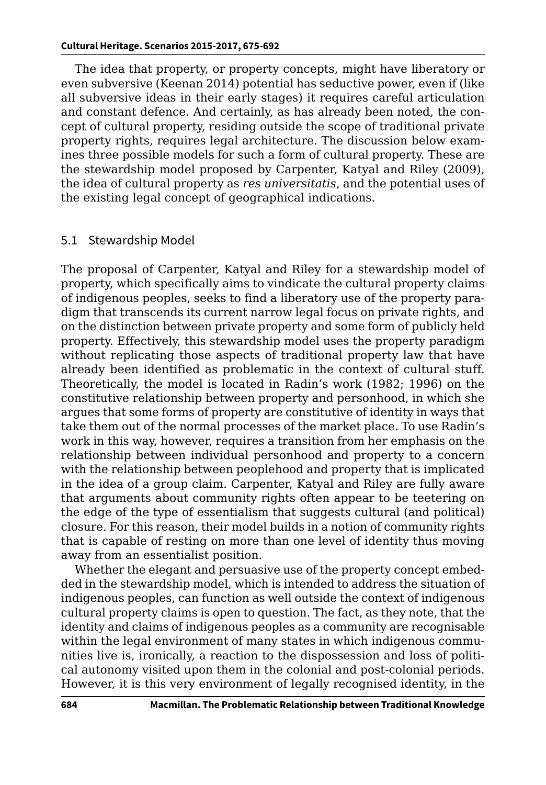The idea that property, or property concepts, might have liberatory or even subversive (Keenan 2014) potential has seductive power, even if (like all subversive ideas in their early stages) it requires careful articulation and constant defence. And certainly, as has already been noted, the concept of cultural property, residing outside the scope of traditional private property rights, requires legal architecture. The discussion below examines three possible models for such a form of cultural property. These are the stewardship model proposed by Carpenter, Katyal and Riley (2009), the idea of cultural property as *res universitatis*, and the potential uses of the existing legal concept of geographical indications.

#### 5.1 Stewardship Model

The proposal of Carpenter, Katyal and Riley for a stewardship model of property, which specifically aims to vindicate the cultural property claims of indigenous peoples, seeks to find a liberatory use of the property paradigm that transcends its current narrow legal focus on private rights, and on the distinction between private property and some form of publicly held property. Effectively, this stewardship model uses the property paradigm without replicating those aspects of traditional property law that have already been identified as problematic in the context of cultural stuff. Theoretically, the model is located in Radin's work (1982; 1996) on the constitutive relationship between property and personhood, in which she argues that some forms of property are constitutive of identity in ways that take them out of the normal processes of the market place. To use Radin's work in this way, however, requires a transition from her emphasis on the relationship between individual personhood and property to a concern with the relationship between peoplehood and property that is implicated in the idea of a group claim. Carpenter, Katyal and Riley are fully aware that arguments about community rights often appear to be teetering on the edge of the type of essentialism that suggests cultural (and political) closure. For this reason, their model builds in a notion of community rights that is capable of resting on more than one level of identity thus moving away from an essentialist position.

Whether the elegant and persuasive use of the property concept embedded in the stewardship model, which is intended to address the situation of indigenous peoples, can function as well outside the context of indigenous cultural property claims is open to question. The fact, as they note, that the identity and claims of indigenous peoples as a community are recognisable within the legal environment of many states in which indigenous communities live is, ironically, a reaction to the dispossession and loss of political autonomy visited upon them in the colonial and post-colonial periods. However, it is this very environment of legally recognised identity, in the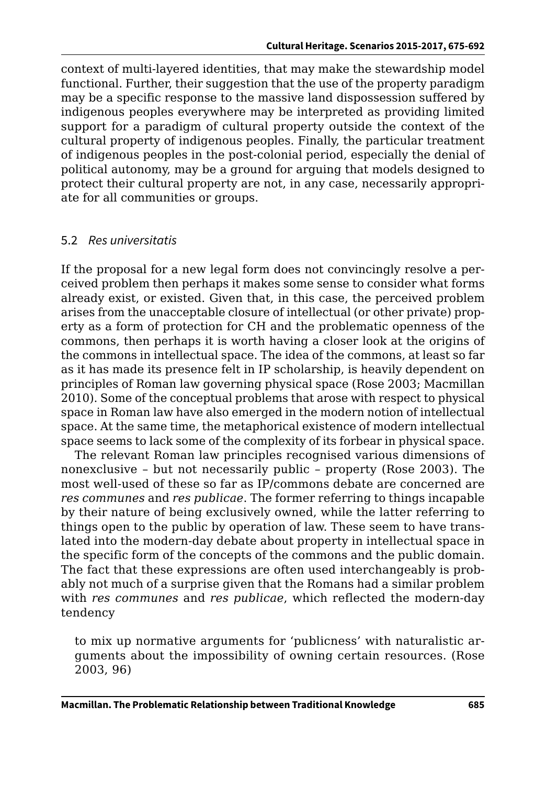context of multi-layered identities, that may make the stewardship model functional. Further, their suggestion that the use of the property paradigm may be a specific response to the massive land dispossession suffered by indigenous peoples everywhere may be interpreted as providing limited support for a paradigm of cultural property outside the context of the cultural property of indigenous peoples. Finally, the particular treatment of indigenous peoples in the post-colonial period, especially the denial of political autonomy, may be a ground for arguing that models designed to protect their cultural property are not, in any case, necessarily appropriate for all communities or groups.

#### 5.2 *Res universitatis*

If the proposal for a new legal form does not convincingly resolve a perceived problem then perhaps it makes some sense to consider what forms already exist, or existed. Given that, in this case, the perceived problem arises from the unacceptable closure of intellectual (or other private) property as a form of protection for CH and the problematic openness of the commons, then perhaps it is worth having a closer look at the origins of the commons in intellectual space. The idea of the commons, at least so far as it has made its presence felt in IP scholarship, is heavily dependent on principles of Roman law governing physical space (Rose 2003; Macmillan 2010). Some of the conceptual problems that arose with respect to physical space in Roman law have also emerged in the modern notion of intellectual space. At the same time, the metaphorical existence of modern intellectual space seems to lack some of the complexity of its forbear in physical space.

The relevant Roman law principles recognised various dimensions of nonexclusive – but not necessarily public – property (Rose 2003). The most well-used of these so far as IP/commons debate are concerned are *res communes* and *res publicae*. The former referring to things incapable by their nature of being exclusively owned, while the latter referring to things open to the public by operation of law. These seem to have translated into the modern-day debate about property in intellectual space in the specific form of the concepts of the commons and the public domain. The fact that these expressions are often used interchangeably is probably not much of a surprise given that the Romans had a similar problem with *res communes* and *res publicae*, which reflected the modern-day tendency

to mix up normative arguments for 'publicness' with naturalistic arguments about the impossibility of owning certain resources. (Rose 2003, 96)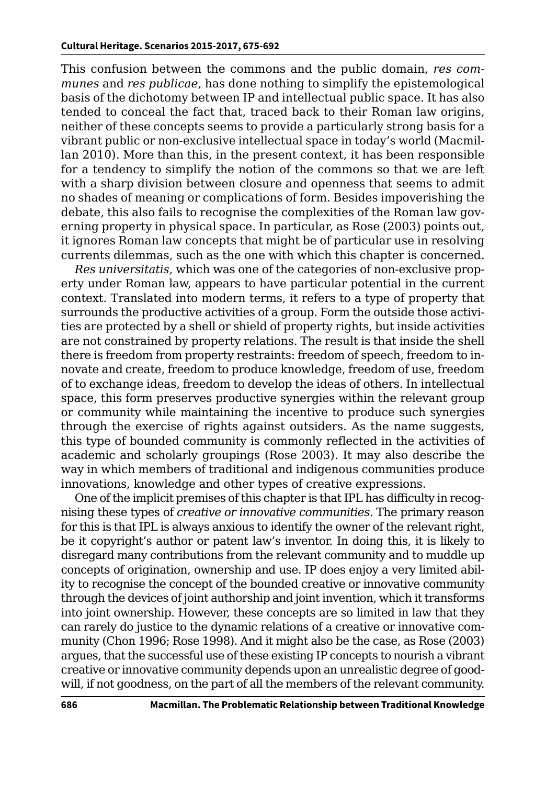This confusion between the commons and the public domain, *res communes* and *res publicae*, has done nothing to simplify the epistemological basis of the dichotomy between IP and intellectual public space. It has also tended to conceal the fact that, traced back to their Roman law origins, neither of these concepts seems to provide a particularly strong basis for a vibrant public or non-exclusive intellectual space in today's world (Macmillan 2010). More than this, in the present context, it has been responsible for a tendency to simplify the notion of the commons so that we are left with a sharp division between closure and openness that seems to admit no shades of meaning or complications of form. Besides impoverishing the debate, this also fails to recognise the complexities of the Roman law governing property in physical space. In particular, as Rose (2003) points out, it ignores Roman law concepts that might be of particular use in resolving currents dilemmas, such as the one with which this chapter is concerned.

*Res universitatis*, which was one of the categories of non-exclusive property under Roman law, appears to have particular potential in the current context. Translated into modern terms, it refers to a type of property that surrounds the productive activities of a group. Form the outside those activities are protected by a shell or shield of property rights, but inside activities are not constrained by property relations. The result is that inside the shell there is freedom from property restraints: freedom of speech, freedom to innovate and create, freedom to produce knowledge, freedom of use, freedom of to exchange ideas, freedom to develop the ideas of others. In intellectual space, this form preserves productive synergies within the relevant group or community while maintaining the incentive to produce such synergies through the exercise of rights against outsiders. As the name suggests, this type of bounded community is commonly reflected in the activities of academic and scholarly groupings (Rose 2003). It may also describe the way in which members of traditional and indigenous communities produce innovations, knowledge and other types of creative expressions.

One of the implicit premises of this chapter is that IPL has difficulty in recognising these types of *creative or innovative communities*. The primary reason for this is that IPL is always anxious to identify the owner of the relevant right, be it copyright's author or patent law's inventor. In doing this, it is likely to disregard many contributions from the relevant community and to muddle up concepts of origination, ownership and use. IP does enjoy a very limited ability to recognise the concept of the bounded creative or innovative community through the devices of joint authorship and joint invention, which it transforms into joint ownership. However, these concepts are so limited in law that they can rarely do justice to the dynamic relations of a creative or innovative community (Chon 1996; Rose 1998). And it might also be the case, as Rose (2003) argues, that the successful use of these existing IP concepts to nourish a vibrant creative or innovative community depends upon an unrealistic degree of goodwill, if not goodness, on the part of all the members of the relevant community.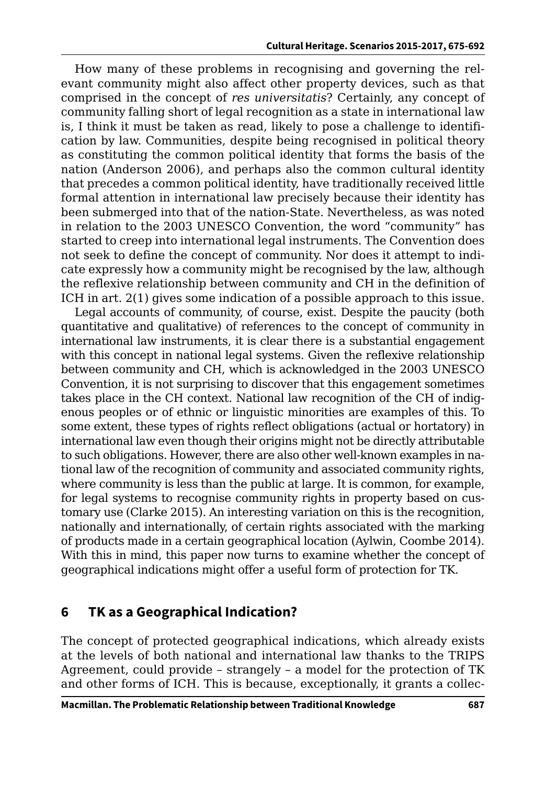How many of these problems in recognising and governing the relevant community might also affect other property devices, such as that comprised in the concept of *res universitatis*? Certainly, any concept of community falling short of legal recognition as a state in international law is, I think it must be taken as read, likely to pose a challenge to identification by law. Communities, despite being recognised in political theory as constituting the common political identity that forms the basis of the nation (Anderson 2006), and perhaps also the common cultural identity that precedes a common political identity, have traditionally received little formal attention in international law precisely because their identity has been submerged into that of the nation-State. Nevertheless, as was noted in relation to the 2003 UNESCO Convention, the word "community" has started to creep into international legal instruments. The Convention does not seek to define the concept of community. Nor does it attempt to indicate expressly how a community might be recognised by the law, although the reflexive relationship between community and CH in the definition of ICH in art. 2(1) gives some indication of a possible approach to this issue.

Legal accounts of community, of course, exist. Despite the paucity (both quantitative and qualitative) of references to the concept of community in international law instruments, it is clear there is a substantial engagement with this concept in national legal systems. Given the reflexive relationship between community and CH, which is acknowledged in the 2003 UNESCO Convention, it is not surprising to discover that this engagement sometimes takes place in the CH context. National law recognition of the CH of indigenous peoples or of ethnic or linguistic minorities are examples of this. To some extent, these types of rights reflect obligations (actual or hortatory) in international law even though their origins might not be directly attributable to such obligations. However, there are also other well-known examples in national law of the recognition of community and associated community rights, where community is less than the public at large. It is common, for example, for legal systems to recognise community rights in property based on customary use (Clarke 2015). An interesting variation on this is the recognition, nationally and internationally, of certain rights associated with the marking of products made in a certain geographical location (Aylwin, Coombe 2014). With this in mind, this paper now turns to examine whether the concept of geographical indications might offer a useful form of protection for TK.

### **6 TK as a Geographical Indication?**

The concept of protected geographical indications, which already exists at the levels of both national and international law thanks to the TRIPS Agreement, could provide – strangely – a model for the protection of TK and other forms of ICH. This is because, exceptionally, it grants a collec-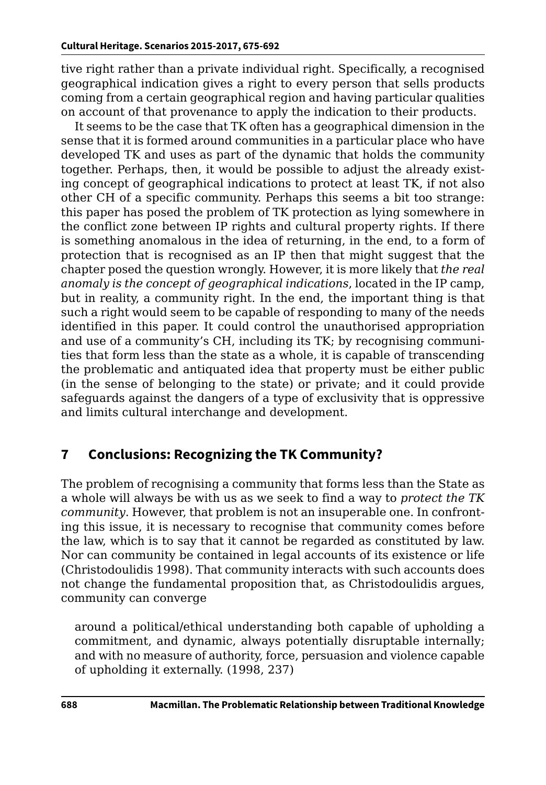tive right rather than a private individual right. Specifically, a recognised geographical indication gives a right to every person that sells products coming from a certain geographical region and having particular qualities on account of that provenance to apply the indication to their products.

It seems to be the case that TK often has a geographical dimension in the sense that it is formed around communities in a particular place who have developed TK and uses as part of the dynamic that holds the community together. Perhaps, then, it would be possible to adjust the already existing concept of geographical indications to protect at least TK, if not also other CH of a specific community. Perhaps this seems a bit too strange: this paper has posed the problem of TK protection as lying somewhere in the conflict zone between IP rights and cultural property rights. If there is something anomalous in the idea of returning, in the end, to a form of protection that is recognised as an IP then that might suggest that the chapter posed the question wrongly. However, it is more likely that *the real anomaly is the concept of geographical indications*, located in the IP camp, but in reality, a community right. In the end, the important thing is that such a right would seem to be capable of responding to many of the needs identified in this paper. It could control the unauthorised appropriation and use of a community's CH, including its TK; by recognising communities that form less than the state as a whole, it is capable of transcending the problematic and antiquated idea that property must be either public (in the sense of belonging to the state) or private; and it could provide safeguards against the dangers of a type of exclusivity that is oppressive and limits cultural interchange and development.

# **7 Conclusions: Recognizing the TK Community?**

The problem of recognising a community that forms less than the State as a whole will always be with us as we seek to find a way to *protect the TK community*. However, that problem is not an insuperable one. In confronting this issue, it is necessary to recognise that community comes before the law, which is to say that it cannot be regarded as constituted by law. Nor can community be contained in legal accounts of its existence or life (Christodoulidis 1998). That community interacts with such accounts does not change the fundamental proposition that, as Christodoulidis argues, community can converge

around a political/ethical understanding both capable of upholding a commitment, and dynamic, always potentially disruptable internally; and with no measure of authority, force, persuasion and violence capable of upholding it externally. (1998, 237)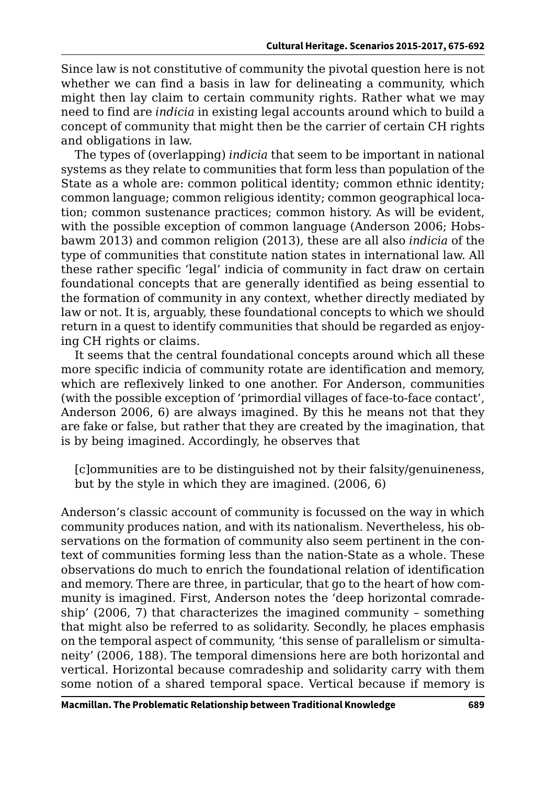Since law is not constitutive of community the pivotal question here is not whether we can find a basis in law for delineating a community, which might then lay claim to certain community rights. Rather what we may need to find are *indicia* in existing legal accounts around which to build a concept of community that might then be the carrier of certain CH rights and obligations in law.

The types of (overlapping) *indicia* that seem to be important in national systems as they relate to communities that form less than population of the State as a whole are: common political identity; common ethnic identity; common language; common religious identity; common geographical location; common sustenance practices; common history. As will be evident, with the possible exception of common language (Anderson 2006; Hobsbawm 2013) and common religion (2013), these are all also *indicia* of the type of communities that constitute nation states in international law. All these rather specific 'legal' indicia of community in fact draw on certain foundational concepts that are generally identified as being essential to the formation of community in any context, whether directly mediated by law or not. It is, arguably, these foundational concepts to which we should return in a quest to identify communities that should be regarded as enjoying CH rights or claims.

It seems that the central foundational concepts around which all these more specific indicia of community rotate are identification and memory, which are reflexively linked to one another. For Anderson, communities (with the possible exception of 'primordial villages of face-to-face contact', Anderson 2006, 6) are always imagined. By this he means not that they are fake or false, but rather that they are created by the imagination, that is by being imagined. Accordingly, he observes that

[c]ommunities are to be distinguished not by their falsity/genuineness, but by the style in which they are imagined. (2006, 6)

Anderson's classic account of community is focussed on the way in which community produces nation, and with its nationalism. Nevertheless, his observations on the formation of community also seem pertinent in the context of communities forming less than the nation-State as a whole. These observations do much to enrich the foundational relation of identification and memory. There are three, in particular, that go to the heart of how community is imagined. First, Anderson notes the 'deep horizontal comradeship' (2006, 7) that characterizes the imagined community – something that might also be referred to as solidarity. Secondly, he places emphasis on the temporal aspect of community, 'this sense of parallelism or simultaneity' (2006, 188). The temporal dimensions here are both horizontal and vertical. Horizontal because comradeship and solidarity carry with them some notion of a shared temporal space. Vertical because if memory is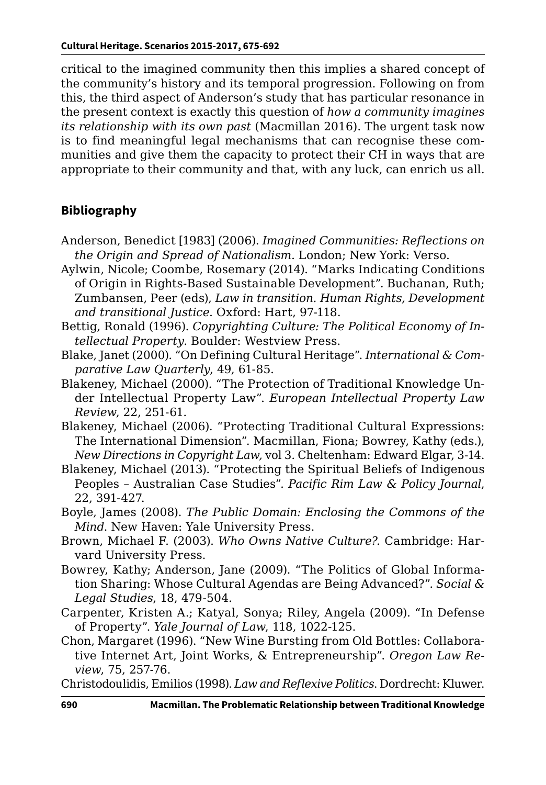critical to the imagined community then this implies a shared concept of the community's history and its temporal progression. Following on from this, the third aspect of Anderson's study that has particular resonance in the present context is exactly this question of *how a community imagines its relationship with its own past* (Macmillan 2016). The urgent task now is to find meaningful legal mechanisms that can recognise these communities and give them the capacity to protect their CH in ways that are appropriate to their community and that, with any luck, can enrich us all.

### **Bibliography**

- Anderson, Benedict [1983] (2006). *Imagined Communities: Reflections on the Origin and Spread of Nationalism*. London; New York: Verso.
- Aylwin, Nicole; Coombe, Rosemary (2014). "Marks Indicating Conditions of Origin in Rights-Based Sustainable Development". Buchanan, Ruth; Zumbansen, Peer (eds), *Law in transition. Human Rights, Development and transitional Justice*. Oxford: Hart, 97-118.
- Bettig, Ronald (1996). *Copyrighting Culture: The Political Economy of Intellectual Property*. Boulder: Westview Press.
- Blake, Janet (2000). "On Defining Cultural Heritage". *International & Comparative Law Quarterly*, 49, 61-85.
- Blakeney, Michael (2000). "The Protection of Traditional Knowledge Under Intellectual Property Law". *European Intellectual Property Law Review*, 22, 251-61.
- Blakeney, Michael (2006). "Protecting Traditional Cultural Expressions: The International Dimension". Macmillan, Fiona; Bowrey, Kathy (eds.), *New Directions in Copyright Law,* vol 3. Cheltenham: Edward Elgar, 3-14.
- Blakeney, Michael (2013). "Protecting the Spiritual Beliefs of Indigenous Peoples – Australian Case Studies". *Pacific Rim Law & Policy Journal*, 22, 391-427.
- Boyle, James (2008). *The Public Domain: Enclosing the Commons of the Mind*. New Haven: Yale University Press.
- Brown, Michael F. (2003). *Who Owns Native Culture?*. Cambridge: Harvard University Press.
- Bowrey, Kathy; Anderson, Jane (2009). "The Politics of Global Information Sharing: Whose Cultural Agendas are Being Advanced?". *Social & Legal Studies*, 18, 479-504.
- Carpenter, Kristen A.; Katyal, Sonya; Riley, Angela (2009). "In Defense of Property". *Yale Journal of Law*, 118, 1022-125.
- Chon, Margaret (1996). "New Wine Bursting from Old Bottles: Collaborative Internet Art, Joint Works, & Entrepreneurship". *Oregon Law Review*, 75, 257-76.

Christodoulidis, Emilios (1998). *Law and Reflexive Politics*. Dordrecht: Kluwer.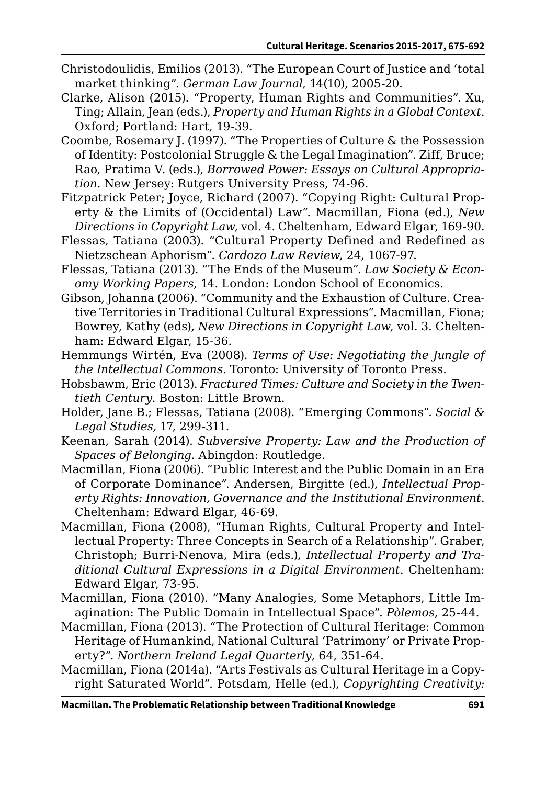- Christodoulidis, Emilios (2013). "The European Court of Justice and 'total market thinking". *German Law Journal*, 14(10), 2005-20.
- Clarke, Alison (2015). "Property, Human Rights and Communities". Xu, Ting; Allain, Jean (eds.), *Property and Human Rights in a Global Context*. Oxford; Portland: Hart, 19-39.
- Coombe, Rosemary J. (1997). "The Properties of Culture & the Possession of Identity: Postcolonial Struggle & the Legal Imagination". Ziff, Bruce; Rao, Pratima V. (eds.), *Borrowed Power: Essays on Cultural Appropriation*. New Jersey: Rutgers University Press, 74-96.
- Fitzpatrick Peter; Joyce, Richard (2007). "Copying Right: Cultural Property & the Limits of (Occidental) Law". Macmillan, Fiona (ed.), *New Directions in Copyright Law*, vol. 4. Cheltenham, Edward Elgar, 169-90.
- Flessas, Tatiana (2003). "Cultural Property Defined and Redefined as Nietzschean Aphorism". *Cardozo Law Review*, 24, 1067-97.
- Flessas, Tatiana (2013). "The Ends of the Museum". *Law Society & Economy Working Papers*, 14. London: London School of Economics.
- Gibson, Johanna (2006). "Community and the Exhaustion of Culture. Creative Territories in Traditional Cultural Expressions". Macmillan, Fiona; Bowrey, Kathy (eds), *New Directions in Copyright Law*, vol. 3. Cheltenham: Edward Elgar, 15-36.
- Hemmungs Wirtén, Eva (2008). *Terms of Use: Negotiating the Jungle of the Intellectual Commons*. Toronto: University of Toronto Press.
- Hobsbawm, Eric (2013). *Fractured Times: Culture and Society in the Twentieth Century*. Boston: Little Brown.
- Holder, Jane B.; Flessas, Tatiana (2008). "Emerging Commons". *Social & Legal Studies,* 17, 299-311.
- Keenan, Sarah (2014). *Subversive Property: Law and the Production of Spaces of Belonging*. Abingdon: Routledge.
- Macmillan, Fiona (2006). "Public Interest and the Public Domain in an Era of Corporate Dominance". Andersen, Birgitte (ed.), *Intellectual Property Rights: Innovation, Governance and the Institutional Environment*. Cheltenham: Edward Elgar, 46-69.
- Macmillan, Fiona (2008), "Human Rights, Cultural Property and Intellectual Property: Three Concepts in Search of a Relationship". Graber, Christoph; Burri-Nenova, Mira (eds.), *Intellectual Property and Traditional Cultural Expressions in a Digital Environment*. Cheltenham: Edward Elgar, 73-95.
- Macmillan, Fiona (2010). "Many Analogies, Some Metaphors, Little Imagination: The Public Domain in Intellectual Space". *Pòlemos*, 25-44.
- Macmillan, Fiona (2013). "The Protection of Cultural Heritage: Common Heritage of Humankind, National Cultural 'Patrimony' or Private Property?". *Northern Ireland Legal Quarterly*, 64, 351-64.
- Macmillan, Fiona (2014a). "Arts Festivals as Cultural Heritage in a Copyright Saturated World". Potsdam, Helle (ed.), *Copyrighting Creativity:*